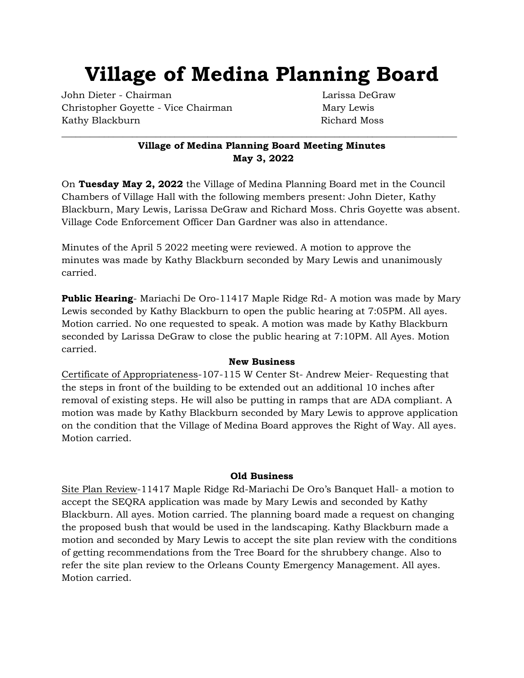# **Village of Medina Planning Board**

John Dieter - Chairman Larissa DeGraw Christopher Goyette - Vice Chairman Mary Lewis Kathy Blackburn **Richard Moss** 

# **Village of Medina Planning Board Meeting Minutes May 3, 2022**

\_\_\_\_\_\_\_\_\_\_\_\_\_\_\_\_\_\_\_\_\_\_\_\_\_\_\_\_\_\_\_\_\_\_\_\_\_\_\_\_\_\_\_\_\_\_\_\_\_\_\_\_\_\_\_\_\_\_\_\_\_\_\_\_\_\_\_\_\_\_\_\_\_\_\_\_\_\_\_\_\_\_\_\_

On **Tuesday May 2, 2022** the Village of Medina Planning Board met in the Council Chambers of Village Hall with the following members present: John Dieter, Kathy Blackburn, Mary Lewis, Larissa DeGraw and Richard Moss. Chris Goyette was absent. Village Code Enforcement Officer Dan Gardner was also in attendance.

Minutes of the April 5 2022 meeting were reviewed. A motion to approve the minutes was made by Kathy Blackburn seconded by Mary Lewis and unanimously carried.

**Public Hearing**- Mariachi De Oro-11417 Maple Ridge Rd-A motion was made by Mary Lewis seconded by Kathy Blackburn to open the public hearing at 7:05PM. All ayes. Motion carried. No one requested to speak. A motion was made by Kathy Blackburn seconded by Larissa DeGraw to close the public hearing at 7:10PM. All Ayes. Motion carried.

### **New Business**

Certificate of Appropriateness-107-115 W Center St- Andrew Meier- Requesting that the steps in front of the building to be extended out an additional 10 inches after removal of existing steps. He will also be putting in ramps that are ADA compliant. A motion was made by Kathy Blackburn seconded by Mary Lewis to approve application on the condition that the Village of Medina Board approves the Right of Way. All ayes. Motion carried.

### **Old Business**

Site Plan Review-11417 Maple Ridge Rd-Mariachi De Oro's Banquet Hall- a motion to accept the SEQRA application was made by Mary Lewis and seconded by Kathy Blackburn. All ayes. Motion carried. The planning board made a request on changing the proposed bush that would be used in the landscaping. Kathy Blackburn made a motion and seconded by Mary Lewis to accept the site plan review with the conditions of getting recommendations from the Tree Board for the shrubbery change. Also to refer the site plan review to the Orleans County Emergency Management. All ayes. Motion carried.